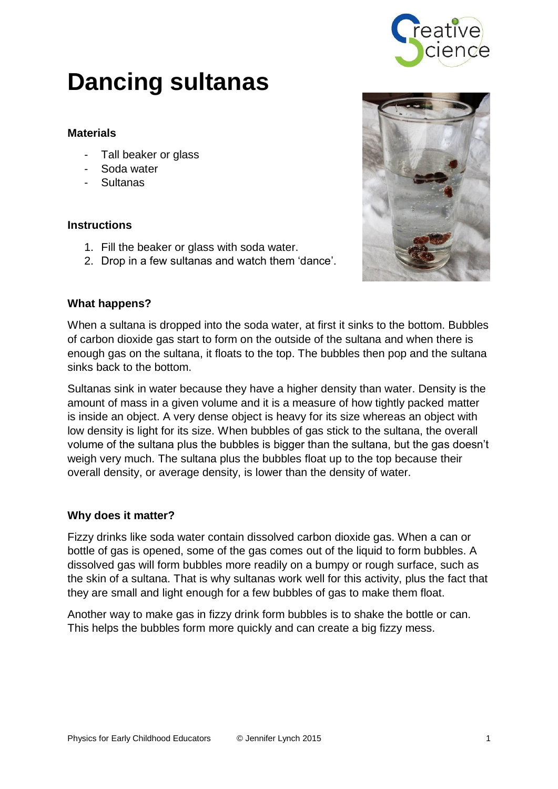

# **Dancing sultanas**

# **Materials**

- Tall beaker or glass
- Soda water
- Sultanas

# **Instructions**

- 1. Fill the beaker or glass with soda water.
- 2. Drop in a few sultanas and watch them 'dance'.



# **What happens?**

When a sultana is dropped into the soda water, at first it sinks to the bottom. Bubbles of carbon dioxide gas start to form on the outside of the sultana and when there is enough gas on the sultana, it floats to the top. The bubbles then pop and the sultana sinks back to the bottom.

Sultanas sink in water because they have a higher density than water. Density is the amount of mass in a given volume and it is a measure of how tightly packed matter is inside an object. A very dense object is heavy for its size whereas an object with low density is light for its size. When bubbles of gas stick to the sultana, the overall volume of the sultana plus the bubbles is bigger than the sultana, but the gas doesn't weigh very much. The sultana plus the bubbles float up to the top because their overall density, or average density, is lower than the density of water.

#### **Why does it matter?**

Fizzy drinks like soda water contain dissolved carbon dioxide gas. When a can or bottle of gas is opened, some of the gas comes out of the liquid to form bubbles. A dissolved gas will form bubbles more readily on a bumpy or rough surface, such as the skin of a sultana. That is why sultanas work well for this activity, plus the fact that they are small and light enough for a few bubbles of gas to make them float.

Another way to make gas in fizzy drink form bubbles is to shake the bottle or can. This helps the bubbles form more quickly and can create a big fizzy mess.